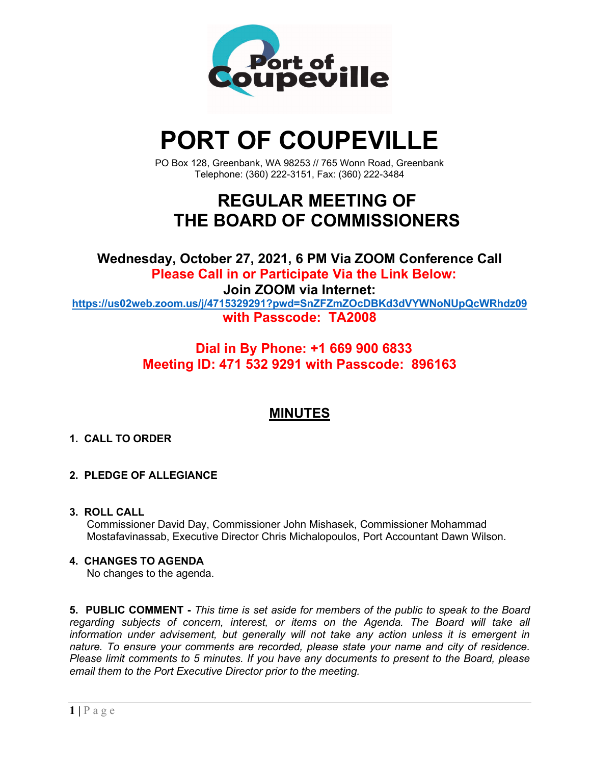

# **PORT OF COUPEVILLE**

PO Box 128, Greenbank, WA 98253 // 765 Wonn Road, Greenbank Telephone: (360) 222-3151, Fax: (360) 222-3484

## **REGULAR MEETING OF THE BOARD OF COMMISSIONERS**

**Wednesday, October 27, 2021, 6 PM Via ZOOM Conference Call Please Call in or Participate Via the Link Below: Join ZOOM via Internet: <https://us02web.zoom.us/j/4715329291?pwd=SnZFZmZOcDBKd3dVYWNoNUpQcWRhdz09> with Passcode: TA2008**

#### **Dial in By Phone: +1 669 900 6833 Meeting ID: 471 532 9291 with Passcode: 896163**

### **MINUTES**

#### **1. CALL TO ORDER**

#### **2. PLEDGE OF ALLEGIANCE**

#### **3. ROLL CALL**

Commissioner David Day, Commissioner John Mishasek, Commissioner Mohammad Mostafavinassab, Executive Director Chris Michalopoulos, Port Accountant Dawn Wilson.

#### **4. CHANGES TO AGENDA**

No changes to the agenda.

**5. PUBLIC COMMENT -** *This time is set aside for members of the public to speak to the Board regarding subjects of concern, interest, or items on the Agenda. The Board will take all information under advisement, but generally will not take any action unless it is emergent in nature. To ensure your comments are recorded, please state your name and city of residence. Please limit comments to 5 minutes. If you have any documents to present to the Board, please email them to the Port Executive Director prior to the meeting.*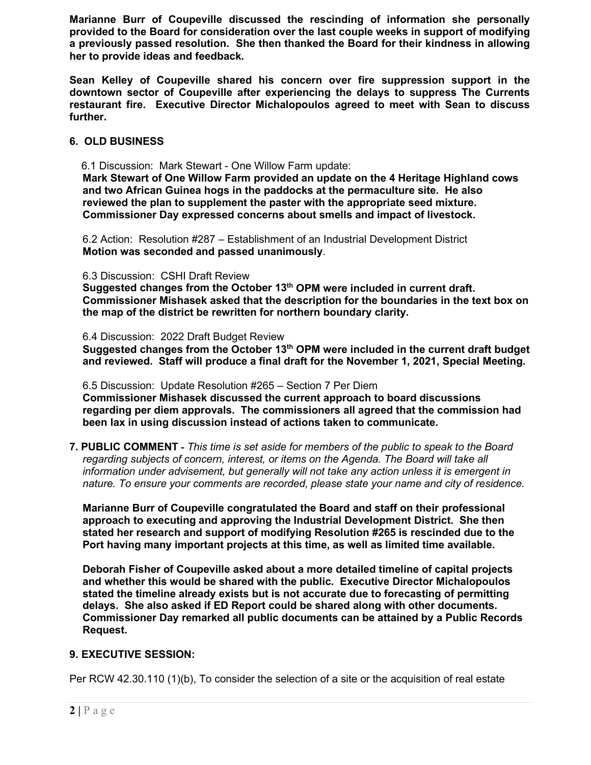**Marianne Burr of Coupeville discussed the rescinding of information she personally provided to the Board for consideration over the last couple weeks in support of modifying a previously passed resolution. She then thanked the Board for their kindness in allowing her to provide ideas and feedback.**

**Sean Kelley of Coupeville shared his concern over fire suppression support in the downtown sector of Coupeville after experiencing the delays to suppress The Currents restaurant fire. Executive Director Michalopoulos agreed to meet with Sean to discuss further.**

#### **6. OLD BUSINESS**

6.1 Discussion: Mark Stewart - One Willow Farm update:

**Mark Stewart of One Willow Farm provided an update on the 4 Heritage Highland cows and two African Guinea hogs in the paddocks at the permaculture site. He also reviewed the plan to supplement the paster with the appropriate seed mixture. Commissioner Day expressed concerns about smells and impact of livestock.**

6.2 Action: Resolution #287 – Establishment of an Industrial Development District **Motion was seconded and passed unanimously**.

#### 6.3 Discussion: CSHI Draft Review

**Suggested changes from the October 13th OPM were included in current draft. Commissioner Mishasek asked that the description for the boundaries in the text box on the map of the district be rewritten for northern boundary clarity.**

#### 6.4 Discussion: 2022 Draft Budget Review

**Suggested changes from the October 13th OPM were included in the current draft budget and reviewed. Staff will produce a final draft for the November 1, 2021, Special Meeting.**

6.5 Discussion: Update Resolution #265 – Section 7 Per Diem

**Commissioner Mishasek discussed the current approach to board discussions regarding per diem approvals. The commissioners all agreed that the commission had been lax in using discussion instead of actions taken to communicate.**

**7. PUBLIC COMMENT -** *This time is set aside for members of the public to speak to the Board regarding subjects of concern, interest, or items on the Agenda. The Board will take all information under advisement, but generally will not take any action unless it is emergent in nature. To ensure your comments are recorded, please state your name and city of residence.*

**Marianne Burr of Coupeville congratulated the Board and staff on their professional approach to executing and approving the Industrial Development District. She then stated her research and support of modifying Resolution #265 is rescinded due to the Port having many important projects at this time, as well as limited time available.**

**Deborah Fisher of Coupeville asked about a more detailed timeline of capital projects and whether this would be shared with the public. Executive Director Michalopoulos stated the timeline already exists but is not accurate due to forecasting of permitting delays. She also asked if ED Report could be shared along with other documents. Commissioner Day remarked all public documents can be attained by a Public Records Request.**

#### **9. EXECUTIVE SESSION:**

Per RCW 42.30.110 (1)(b), To consider the selection of a site or the acquisition of real estate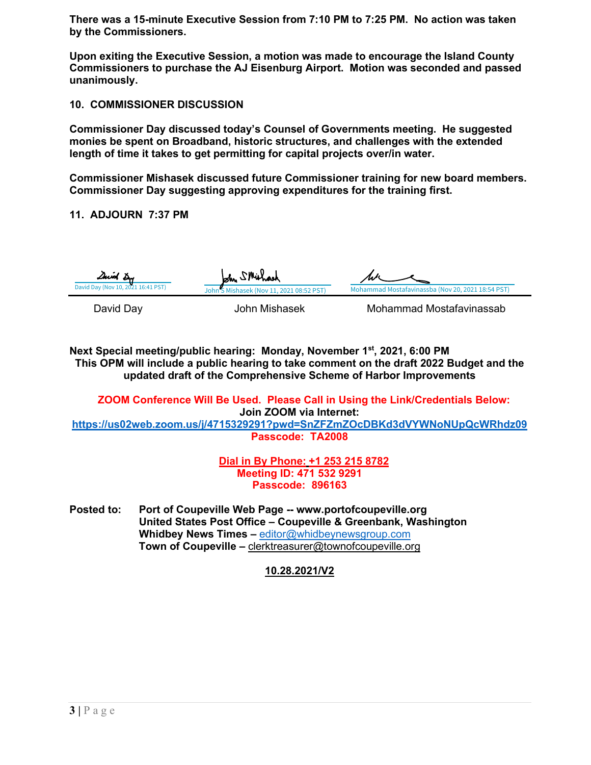**There was a 15-minute Executive Session from 7:10 PM to 7:25 PM. No action was taken by the Commissioners.**

**Upon exiting the Executive Session, a motion was made to encourage the Island County Commissioners to purchase the AJ Eisenburg Airport. Motion was seconded and passed unanimously.** 

#### **10. COMMISSIONER DISCUSSION**

**Commissioner Day discussed today's Counsel of Governments meeting. He suggested monies be spent on Broadband, historic structures, and challenges with the extended length of time it takes to get permitting for capital projects over/in water.**

**Commissioner Mishasek discussed future Commissioner training for new board members. Commissioner Day suggesting approving expenditures for the training first.**

#### **11. ADJOURN 7:37 PM**

| Duid Du<br>David Day (Nov 10, 2021 16:41 PST) | John SMithood                            |                                                   |  |
|-----------------------------------------------|------------------------------------------|---------------------------------------------------|--|
|                                               | John'S Mishasek (Nov 11, 2021 08:52 PST) | Mohammad Mostafavinassba (Nov 20, 2021 18:54 PST) |  |
| David Davi                                    | الملحصة والمثالثات والمراجل              | $M = 5$ and $= 1$ $M = 1.5$ for the $= 2.5$ k     |  |

David Day John Mishasek Mohammad Mostafavinassab

**Next Special meeting/public hearing: Monday, November 1st , 2021, 6:00 PM This OPM will include a public hearing to take comment on the draft 2022 Budget and the updated draft of the Comprehensive Scheme of Harbor Improvements**

**ZOOM Conference Will Be Used. Please Call in Using the Link/Credentials Below: Join ZOOM via Internet: <https://us02web.zoom.us/j/4715329291?pwd=SnZFZmZOcDBKd3dVYWNoNUpQcWRhdz09>**

**Passcode: TA2008**

**Dial in By Phone: +1 253 215 8782 Meeting ID: 471 532 9291 Passcode: 896163**

**Posted to: Port of Coupeville Web Page -- www.portofcoupeville.org United States Post Office – Coupeville & Greenbank, Washington Whidbey News Times –** [editor@whidbeynewsgroup.com](mailto:editor@whidbeynewsgroup.com) **Town of Coupeville –** [clerktreasurer@townofcoupeville.org](mailto:clerktreasurer@townofcoupeville.org)

**10.28.2021/V2**